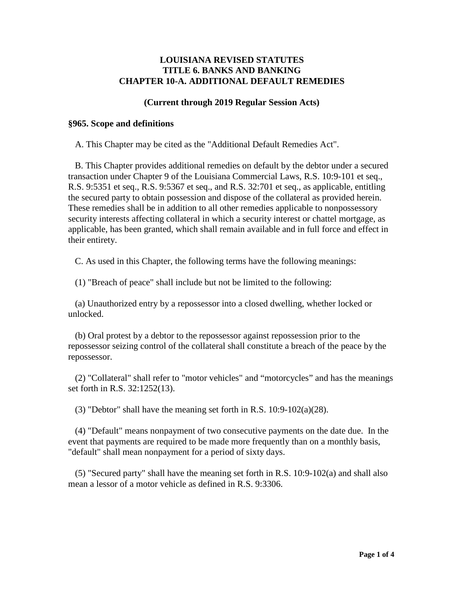# **LOUISIANA REVISED STATUTES TITLE 6. BANKS AND BANKING CHAPTER 10-A. ADDITIONAL DEFAULT REMEDIES**

# **(Current through 2019 Regular Session Acts)**

## **§965. Scope and definitions**

A. This Chapter may be cited as the "Additional Default Remedies Act".

 B. This Chapter provides additional remedies on default by the debtor under a secured transaction under Chapter 9 of the Louisiana Commercial Laws, R.S. 10:9-101 et seq., R.S. 9:5351 et seq., R.S. 9:5367 et seq., and R.S. 32:701 et seq., as applicable, entitling the secured party to obtain possession and dispose of the collateral as provided herein. These remedies shall be in addition to all other remedies applicable to nonpossessory security interests affecting collateral in which a security interest or chattel mortgage, as applicable, has been granted, which shall remain available and in full force and effect in their entirety.

C. As used in this Chapter, the following terms have the following meanings:

(1) "Breach of peace" shall include but not be limited to the following:

 (a) Unauthorized entry by a repossessor into a closed dwelling, whether locked or unlocked.

 (b) Oral protest by a debtor to the repossessor against repossession prior to the repossessor seizing control of the collateral shall constitute a breach of the peace by the repossessor.

 (2) "Collateral" shall refer to "motor vehicles" and "motorcycles" and has the meanings set forth in R.S. 32:1252(13).

(3) "Debtor" shall have the meaning set forth in R.S. 10:9-102(a)(28).

 (4) "Default" means nonpayment of two consecutive payments on the date due. In the event that payments are required to be made more frequently than on a monthly basis, "default" shall mean nonpayment for a period of sixty days.

 (5) "Secured party" shall have the meaning set forth in R.S. 10:9-102(a) and shall also mean a lessor of a motor vehicle as defined in R.S. 9:3306.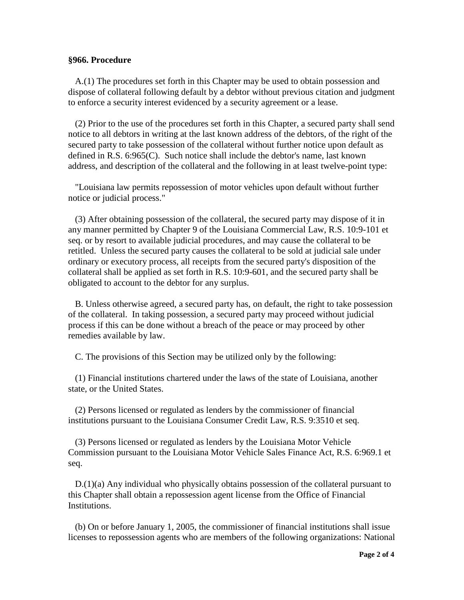#### **§966. Procedure**

 A.(1) The procedures set forth in this Chapter may be used to obtain possession and dispose of collateral following default by a debtor without previous citation and judgment to enforce a security interest evidenced by a security agreement or a lease.

 (2) Prior to the use of the procedures set forth in this Chapter, a secured party shall send notice to all debtors in writing at the last known address of the debtors, of the right of the secured party to take possession of the collateral without further notice upon default as defined in R.S. 6:965(C). Such notice shall include the debtor's name, last known address, and description of the collateral and the following in at least twelve-point type:

 "Louisiana law permits repossession of motor vehicles upon default without further notice or judicial process."

 (3) After obtaining possession of the collateral, the secured party may dispose of it in any manner permitted by Chapter 9 of the Louisiana Commercial Law, R.S. 10:9-101 et seq. or by resort to available judicial procedures, and may cause the collateral to be retitled. Unless the secured party causes the collateral to be sold at judicial sale under ordinary or executory process, all receipts from the secured party's disposition of the collateral shall be applied as set forth in R.S. 10:9-601, and the secured party shall be obligated to account to the debtor for any surplus.

 B. Unless otherwise agreed, a secured party has, on default, the right to take possession of the collateral. In taking possession, a secured party may proceed without judicial process if this can be done without a breach of the peace or may proceed by other remedies available by law.

C. The provisions of this Section may be utilized only by the following:

 (1) Financial institutions chartered under the laws of the state of Louisiana, another state, or the United States.

 (2) Persons licensed or regulated as lenders by the commissioner of financial institutions pursuant to the Louisiana Consumer Credit Law, R.S. 9:3510 et seq.

 (3) Persons licensed or regulated as lenders by the Louisiana Motor Vehicle Commission pursuant to the Louisiana Motor Vehicle Sales Finance Act, R.S. 6:969.1 et seq.

 D.(1)(a) Any individual who physically obtains possession of the collateral pursuant to this Chapter shall obtain a repossession agent license from the Office of Financial Institutions.

 (b) On or before January 1, 2005, the commissioner of financial institutions shall issue licenses to repossession agents who are members of the following organizations: National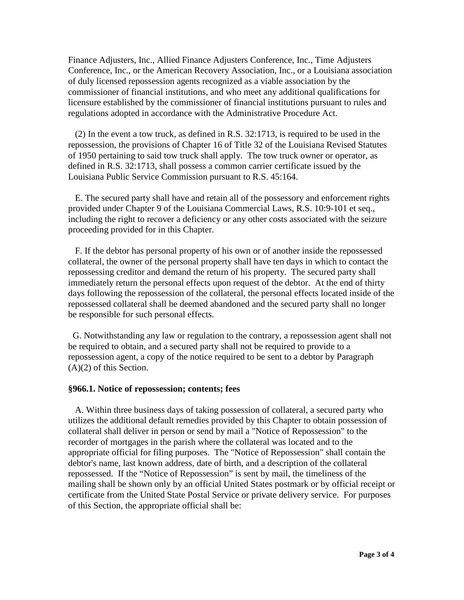Finance Adjusters, Inc., Allied Finance Adjusters Conference, Inc., Time Adjusters Conference, Inc., or the American Recovery Association, Inc., or a Louisiana association of duly licensed repossession agents recognized as a viable association by the commissioner of financial institutions, and who meet any additional qualifications for licensure established by the commissioner of financial institutions pursuant to rules and regulations adopted in accordance with the Administrative Procedure Act.

 (2) In the event a tow truck, as defined in R.S. 32:1713, is required to be used in the repossession, the provisions of Chapter 16 of Title 32 of the Louisiana Revised Statutes of 1950 pertaining to said tow truck shall apply. The tow truck owner or operator, as defined in R.S. 32:1713, shall possess a common carrier certificate issued by the Louisiana Public Service Commission pursuant to R.S. 45:164.

 E. The secured party shall have and retain all of the possessory and enforcement rights provided under Chapter 9 of the Louisiana Commercial Laws, R.S. 10:9-101 et seq., including the right to recover a deficiency or any other costs associated with the seizure proceeding provided for in this Chapter.

 F. If the debtor has personal property of his own or of another inside the repossessed collateral, the owner of the personal property shall have ten days in which to contact the repossessing creditor and demand the return of his property. The secured party shall immediately return the personal effects upon request of the debtor. At the end of thirty days following the repossession of the collateral, the personal effects located inside of the repossessed collateral shall be deemed abandoned and the secured party shall no longer be responsible for such personal effects.

 G. Notwithstanding any law or regulation to the contrary, a repossession agent shall not be required to obtain, and a secured party shall not be required to provide to a repossession agent, a copy of the notice required to be sent to a debtor by Paragraph (A)(2) of this Section.

## **§966.1. Notice of repossession; contents; fees**

 A. Within three business days of taking possession of collateral, a secured party who utilizes the additional default remedies provided by this Chapter to obtain possession of collateral shall deliver in person or send by mail a "Notice of Repossession" to the recorder of mortgages in the parish where the collateral was located and to the appropriate official for filing purposes. The "Notice of Repossession" shall contain the debtor's name, last known address, date of birth, and a description of the collateral repossessed. If the "Notice of Repossession" is sent by mail, the timeliness of the mailing shall be shown only by an official United States postmark or by official receipt or certificate from the United State Postal Service or private delivery service. For purposes of this Section, the appropriate official shall be: